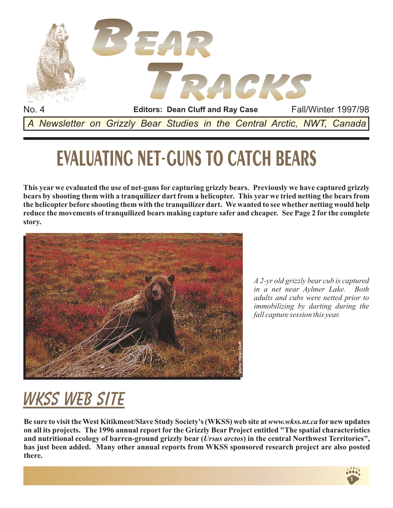

# **- EVALUATING NET GUNS TO CATCH BEARS**

**This year we evaluated the use of net-guns for capturing grizzly bears. Previously we have captured grizzly bears by shooting them with a tranquilizer dart from a helicopter. This year we tried netting the bears from the helicopter before shooting them with the tranquilizer dart. We wanted to see whether netting would help reduce the movements of tranquilized bears making capture safer and cheaper. See Page 2 for the complete story.**



*A 2-yr old grizzly bear cub is captured in a net near Aylmer Lake. Both adults and cubs were netted prior to immobilizing by darting during the fall capture session this year.*

## **WKSS web site**

Be sure to visit the West Kitikmeot/Slave Study Society's (WKSS) web site at www.wkss.*nt.ca* for new updates **on all its projects. The 1996 annual report for the Grizzly Bear Project entitled "The spatial characteristics** and nutritional ecology of barren-ground grizzly bear (Ursus arctos) in the central Northwest Territories", **has just been added. Many other annual reports from WKSS sponsored research project are also posted there.**

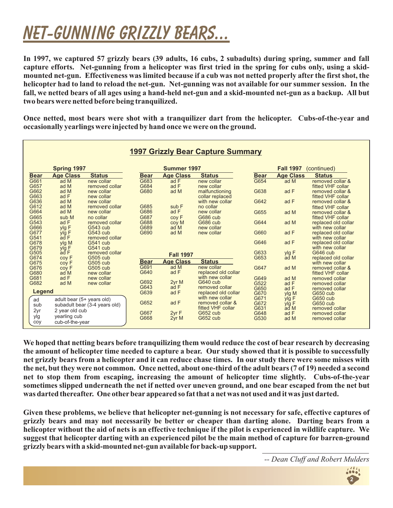### **NEt-gunning grizzly bears... NEt-gunning grizzly**

**In 1997, we captured 57 grizzly bears (39 adults, 16 cubs, 2 subadults) during spring, summer and fall capture efforts. Net-gunning from a helicopter was first tried in the spring for cubs only, using a skidmounted net-gun. Effectiveness was limited because if a cub was not netted properly after the first shot, the helicopter had to land to reload the net-gun. Net-gunning was not available for our summer session. In the fall, we netted bears of all ages using a hand-held net-gun and a skid-mounted net-gun as a backup. All but two bears were netted before being tranquilized.**

**Once netted, most bears were shot with a tranquilizer dart from the helicopter. Cubs-of-the-year and occasionally yearlings were injected by hand once we were on the ground.**

| <b>1997 Grizzly Bear Capture Summary</b> |                               |                      |              |                  |                                     |              |                                 |                                        |  |  |  |  |  |
|------------------------------------------|-------------------------------|----------------------|--------------|------------------|-------------------------------------|--------------|---------------------------------|----------------------------------------|--|--|--|--|--|
|                                          |                               |                      |              |                  |                                     |              |                                 |                                        |  |  |  |  |  |
| <b>Spring 1997</b>                       |                               |                      |              | Summer 1997      |                                     |              | <b>Fall 1997</b><br>(continued) |                                        |  |  |  |  |  |
| <b>Bear</b>                              | <b>Age Class</b>              | <b>Status</b>        | <b>Bear</b>  | <b>Age Class</b> | <b>Status</b>                       | <b>Bear</b>  | <b>Age Class</b>                | <b>Status</b>                          |  |  |  |  |  |
| G661                                     | ad M                          | new collar           | G683         | ad F             | new collar                          | G654         | ad M                            | removed collar &                       |  |  |  |  |  |
| G657                                     | ad M                          | removed collar       | G684         | ad F             | new collar                          |              |                                 | fitted VHF collar                      |  |  |  |  |  |
| G662                                     | ad M                          | new collar           | G680         | ad M             | malfunctioning                      | G638         | ad F                            | removed collar &                       |  |  |  |  |  |
| G663                                     | ad F                          | new collar           |              |                  | collar replaced                     |              |                                 | fitted VHF collar                      |  |  |  |  |  |
| G636                                     | ad M                          | new collar           |              |                  | with new collar                     | G642         | ad F                            | removed collar &                       |  |  |  |  |  |
| G612                                     | ad M                          | removed collar       | G685         | sub F            | no collar                           |              |                                 | fitted VHF collar                      |  |  |  |  |  |
| G664                                     | ad M                          | new collar           | G686         | ad F             | new collar                          | G655         | ad M                            | removed collar &                       |  |  |  |  |  |
| G665                                     | sub M                         | no collar            | G687         | coy F            | G686 cub                            |              |                                 | fitted VHF collar                      |  |  |  |  |  |
| G543                                     | ad F                          | removed collar       | G688         | coy M            | G686 cub                            | G644         | ad M                            | replaced old collar                    |  |  |  |  |  |
| G666<br>G677                             | ylg E                         | G543 cub<br>G543 cub | G689<br>G690 | ad M<br>ad M     | new collar<br>new collar            | G660         | ad F                            | with new collar<br>replaced old collar |  |  |  |  |  |
| G541                                     | ylg F<br>ad F                 | removed collar       |              |                  |                                     |              |                                 | with new collar                        |  |  |  |  |  |
| G678                                     | ylg M                         | G541 cub             |              |                  |                                     | G646         | ad F                            | replaced old collar                    |  |  |  |  |  |
| G679                                     | ylg F                         | G541 cub             |              |                  |                                     |              |                                 | with new collar                        |  |  |  |  |  |
| G505                                     | ad F                          | removed collar       |              |                  |                                     | G633         | ylg F                           | G646 cub                               |  |  |  |  |  |
| G674                                     | coy F                         | G505 cub             |              | <b>Fall 1997</b> |                                     | G653         | ad M                            | replaced old collar                    |  |  |  |  |  |
| G675                                     | coy F                         | G505 cub             | <b>Bear</b>  | <b>Age Class</b> | <b>Status</b>                       |              |                                 | with new collar                        |  |  |  |  |  |
| G676                                     | coy F                         | G505 cub             | G691         | ad M             | new collar                          | G647         | ad M                            | removed collar &                       |  |  |  |  |  |
| G680                                     | ad M                          | new collar           | G640         | ad F             | replaced old collar                 |              |                                 | fitted VHF collar                      |  |  |  |  |  |
| G681                                     | ad F                          | new collar           |              |                  | with new collar                     | G649         | ad M                            | removed collar                         |  |  |  |  |  |
| G682                                     | ad M                          | new collar           | G692         | 2yr M            | G640 cub                            | G522         | ad F                            | removed collar                         |  |  |  |  |  |
|                                          |                               |                      | G643         | ad F             | removed collar                      | G650         | ad F                            | removed collar                         |  |  |  |  |  |
| Legend                                   |                               |                      | G639         | ad F             | replaced old collar                 | G670         | ylg M                           | G650 cub                               |  |  |  |  |  |
| ad                                       | adult bear (5+ years old)     |                      | G652         | ad F             | with new collar<br>removed collar & | G671         | ylg E                           | G650 cub                               |  |  |  |  |  |
| sub                                      | subadult bear (3-4 years old) |                      |              |                  | fitted VHF collar                   | G672<br>G631 | ylg F<br>ad M                   | G650 cub<br>removed collar             |  |  |  |  |  |
| 2yr                                      | 2 year old cub                |                      | G667         | 2yr F            | G652 cub                            | G648         | ad F                            | removed collar                         |  |  |  |  |  |
| ylg                                      | yearling cub                  |                      | G668         | 2yr M            | G652 cub                            | G530         | ad M                            | removed collar                         |  |  |  |  |  |
| coy                                      | cub-of-the-year               |                      |              |                  |                                     |              |                                 |                                        |  |  |  |  |  |

**We hoped that netting bears before tranquilizing them would reduce the cost of bear research by decreasing the amount of helicopter time needed to capture a bear. Our study showed that it is possible to successfully net grizzly bears from a helicopter and it can reduce chase times. In our study there were some misses with the net, but they were not common. Once netted, about one-third of the adult bears (7 of 19) needed a second net to stop them from escaping, increasing the amount of helicopter time slightly. Cubs-of-the-year sometimes slipped underneath the net if netted over uneven ground, and one bear escaped from the net but was darted thereafter. One other bear appeared so fat that a net was not used and it was just darted.**

suggest that helicopter darting with an experienced pilot be the main method of capture for barren-ground<br>grizzly bears with a skid-mounted net-gun available for back-up support. **Given these problems, we believe that helicopter net-gunning is not necessary for safe, effective captures of grizzly bears and may not necessarily be better or cheaper than darting alone. Darting bears from a helicopter without the aid of nets is an effective technique if the pilot is experienced in wildlife capture. We grizzly bears with a skid-mounted net-gun available for back-up support.**

*-- Dean Cluff and Robert Mulders*

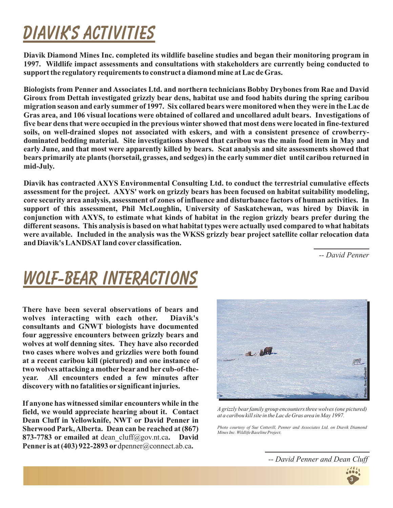## **Diavik'S ACTIVITIES Diavik'S**

**Diavik Diamond Mines Inc. completed its wildlife baseline studies and began their monitoring program in 1997. Wildlife impact assessments and consultations with stakeholders are currently being conducted to support the regulatory requirements to construct a diamond mine at Lac de Gras.**

**Biologists from Penner and Associates Ltd. and northern technicians Bobby Drybones from Rae and David Giroux from Dettah investigated grizzly bear dens, habitat use and food habits during the spring caribou migration season and early summer of 1997. Six collared bears were monitored when they were in the Lac de Gras area, and 106 visual locations were obtained of collared and uncollared adult bears. Investigations of five bear dens that were occupied in the previous winter showed that most dens were located in fine-textured soils, on well-drained slopes not associated with eskers, and with a consistent presence of crowberrydominated bedding material. Site investigations showed that caribou was the main food item in May and early June, and that most were apparently killed by bears. Scat analysis and site assessments showed that bears primarily ate plants (horsetail, grasses, and sedges) in the early summer diet until caribou returned in mid-July.**

**Diavik has contracted AXYS Environmental Consulting Ltd. to conduct the terrestrial cumulative effects assessment for the project. AXYS' work on grizzly bears has been focused on habitat suitability modeling, core security area analysis, assessment of zones of influence and disturbance factors of human activities. In support of this assessment, Phil McLoughlin, University of Saskatchewan, was hired by Diavik in conjunction with AXYS, to estimate what kinds of habitat in the region grizzly bears prefer during the different seasons. This analysis is based on what habitat types were actually used compared to what habitats were available. Included in the analysis was the WKSS grizzly bear project satellite collar relocation data and Diavik's LANDSATland cover classification.**

*-- David Penner*

### **Wolf-Bear interactions Wolf-Bear**

**There have been several observations of bears and wolves interacting with each other. Diavik's consultants and GNWT biologists have documented four aggressive encounters between grizzly bears and wolves at wolf denning sites. They have also recorded two cases where wolves and grizzlies were both found at a recent caribou kill (pictured) and one instance of two wolves attacking a mother bear and her cub-of-theyear. All encounters ended a few minutes after discovery with no fatalities or significant injuries.**

**If anyone has witnessed similar encounters while in the field, we would appreciate hearing about it. Contact Dean Cluff in Yellowknife, NWT or David Penner in Sherwood Park,Alberta. Dean can be reached at (867)** 873-7783 or emailed at dean\_cluff@gov.nt.ca. David Penner is at (403) 922-2893 or dpenner@connect.ab.ca.



*A grizzly bear family group encounters three wolves (one pictured) at a caribou kill site in the Lac de Gras area in May 1997.*

*Photo courtesy of Sue Cotterill, Penner and Associates Ltd. on Diavik Diamond Mines Inc. Wildlife Baseline Project.*

*-- David Penner and Dean Cluff*

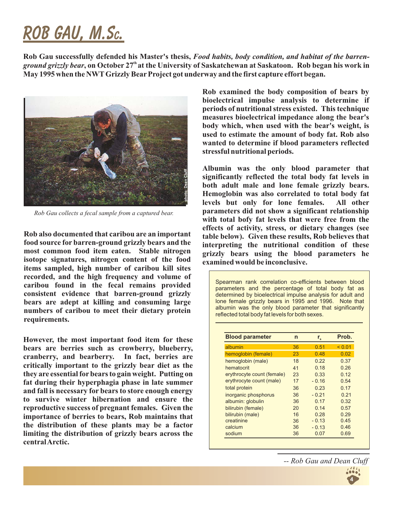## **Rob Gau, M.S . Rob Gau, M.Sc.**

**Rob Gau successfully defended his Master's thesis,** *Food habits, body condition, and habitat of the barrenground grizzly bear*, on October 27<sup>th</sup> at the University of Saskatchewan at Saskatoon. Rob began his work in **May 1995 when the NWT Grizzly Bear Project got underway and the first capture effort began.**



*Rob Gau collects a fecal sample from a captured bear.*

**Rob also documented that caribou are an important food source for barren-ground grizzly bears and the most common food item eaten. Stable nitrogen isotope signatures, nitrogen content of the food items sampled, high number of caribou kill sites recorded, and the high frequency and volume of caribou found in the fecal remains provided consistent evidence that barren-ground grizzly bears are adept at killing and consuming large numbers of caribou to meet their dietary protein requirements.**

**However, the most important food item for these bears are berries such as crowberry, blueberry, cranberry, and bearberry. In fact, berries are critically important to the grizzly bear diet as the they are essential for bears to gain weight. Putting on fat during their hyperphagia phase in late summer and fall is necessary for bears to store enough energy to survive winter hibernation and ensure the reproductive success of pregnant females. Given the importance of berries to bears, Rob maintains that the distribution of these plants may be a factor limiting the distribution of grizzly bears across the centralArctic.**

**Rob examined the body composition of bears by bioelectrical impulse analysis to determine if periods of nutritional stress existed. This technique measures bioelectrical impedance along the bear's body which, when used with the bear's weight, is used to estimate the amount of body fat. Rob also wanted to determine if blood parameters reflected stressful nutritional periods.**

**Albumin was the only blood parameter that significantly reflected the total body fat levels in both adult male and lone female grizzly bears. Hemoglobin was also correlated to total body fat levels but only for lone females. All other parameters did not show a significant relationship with total bofy fat levels that were free from the effects of activity, stress, or dietary changes (see table below). Given these results, Rob believes that interpreting the nutritional condition of these grizzly bears using the blood parameters he examined would be inconclusive.**

Spearman rank correlation co-efficients between blood parameters and the percentage of total body fat as determined by bioelectrical impulse analysis for adult and lone female grizzly bears in 1995 and 1996. Note that albumin was the only blood parameter that significantly reflected total body fat levels for both sexes.

| <b>Blood parameter</b>     | n  | $r_{\rm s}$ | Prob.  |  |
|----------------------------|----|-------------|--------|--|
| albumin                    | 36 | 0.51        | < 0.01 |  |
| hemoglobin (female)        | 23 | 0.48        | 0.02   |  |
| hemoglobin (male)          | 18 | 0.22        | 0.37   |  |
| hematocrit                 | 41 | 0.18        | 0.26   |  |
| erythrocyte count (female) | 23 | 0.33        | 0.12   |  |
| erythrocyte count (male)   | 17 | $-0.16$     | 0.54   |  |
| total protein              | 36 | 0.23        | 0.17   |  |
| inorganic phosphorus       | 36 | $-0.21$     | 0.21   |  |
| albumin: globulin          | 36 | 0.17        | 0.32   |  |
| bilirubin (female)         | 20 | 0.14        | 0.57   |  |
| bilirubin (male)           | 16 | 0.28        | 0.29   |  |
| creatinine                 | 36 | $-0.13$     | 0.45   |  |
| calcium                    | 36 | $-0.13$     | 0.46   |  |
| sodium                     | 36 | 0.07        | 0.69   |  |

*-- Rob Gau and Dean Cluff*

**4**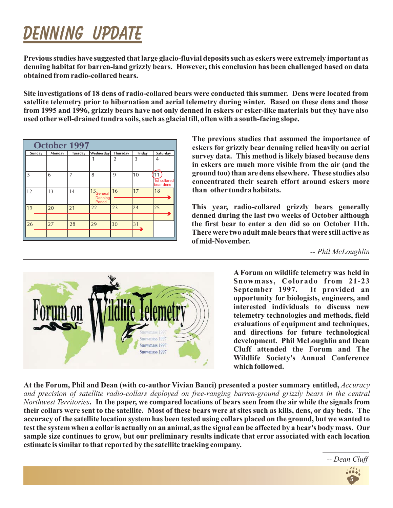# **Denning UPDATE Denning**

**Previous studies have suggested that large glacio-fluvial deposits such as eskers were extremely important as denning habitat for barren-land grizzly bears. However, this conclusion has been challenged based on data obtained from radio-collared bears.**

**Site investigations of 18 dens of radio-collared bears were conducted this summer. Dens were located from satellite telemetry prior to hibernation and aerial telemetry during winter. Based on these dens and those from 1995 and 1996, grizzly bears have not only denned in eskers or esker-like materials but they have also used other well-drained tundra soils, such as glacial till, often with a south-facing slope.**

| <b>October 1997</b> |         |                   |                |                                  |                                             |  |  |  |  |  |
|---------------------|---------|-------------------|----------------|----------------------------------|---------------------------------------------|--|--|--|--|--|
| Monday              | Tuesday |                   | Thursday       | Friday                           | Saturday                                    |  |  |  |  |  |
|                     |         |                   | $\overline{2}$ | 3                                | 4                                           |  |  |  |  |  |
| 6                   | 7       | 8                 | 9              | 10                               | $\overline{1}$<br>1st collared<br>bear dens |  |  |  |  |  |
| 13                  | 14      | Denning<br>Period | 16             | 17                               | 18                                          |  |  |  |  |  |
| 20                  | 21      | 22                | 23             | 24                               | 25                                          |  |  |  |  |  |
| 27                  | 28      | 29                | 30             | 31                               |                                             |  |  |  |  |  |
|                     |         |                   |                | <b>Wednesday</b><br>$15$ General |                                             |  |  |  |  |  |

**The previous studies that assumed the importance of eskers for grizzly bear denning relied heavily on aerial survey data. This method is likely biased because dens in eskers are much more visible from the air (and the ground too) than are dens elsewhere. These studies also concentrated their search effort around eskers more than other tundra habitats.**

**This year, radio-collared grizzly bears generally denned during the last two weeks of October although the first bear to enter a den did so on October 11th. There were two adult male bears that were still active as of mid-November.**

*-- Phil McLoughlin*



*R. Gau* **Wildlife Society's Annual Conference A Forum on wildlife telemetry was held in Snowmass, Colorado from 21-23 September 1997. It provided an opportunity for biologists, engineers, and interested individuals to discuss new telemetry technologies and methods, field evaluations of equipment and techniques, and directions for future technological development. Phil McLoughlin and Dean Cluff attended the Forum and The which followed.**

**At the Forum, Phil and Dean (with co-author Vivian Banci) presented a poster summary entitled,** *Accuracy* **. In the paper, we compared locations of bears seen from the air while the signals from** *Northwest Territories* **their collars were sent to the satellite. Most of these bears were at sites such as kills, dens, or day beds. The accuracy of the satellite location system has been tested using collars placed on the ground, but we wanted to test the system when a collaris actually on an animal, as the signal can be affected by a bear's body mass. Our sample size continues to grow, but our preliminary results indicate that error associated with each location estimate is similar to that reported by the satellite tracking company.** *and precision of satellite radio-collars deployed on free-ranging barren-ground grizzly bears in the central*

*-- Dean Cluff*